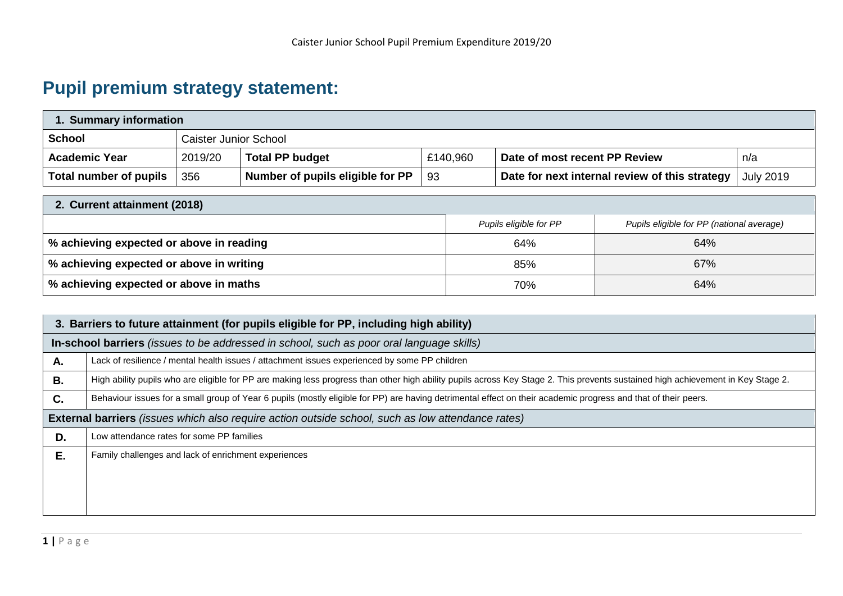## **Pupil premium strategy statement:**

| <b>Summary information</b> |         |                                  |          |                                                |                  |  |
|----------------------------|---------|----------------------------------|----------|------------------------------------------------|------------------|--|
| School                     |         | Caister Junior School            |          |                                                |                  |  |
| <b>Academic Year</b>       | 2019/20 | <b>Total PP budget</b>           | £140,960 | Date of most recent PP Review                  | n/a              |  |
| Total number of pupils     | 356     | Number of pupils eligible for PP | 93       | Date for next internal review of this strategy | <b>July 2019</b> |  |

| 2. Current attainment (2018)             |                        |                                           |  |  |  |
|------------------------------------------|------------------------|-------------------------------------------|--|--|--|
|                                          | Pupils eligible for PP | Pupils eligible for PP (national average) |  |  |  |
| % achieving expected or above in reading | 64%                    | 64%                                       |  |  |  |
| % achieving expected or above in writing | 85%                    | 67%                                       |  |  |  |
| % achieving expected or above in maths   | 70%                    | 64%                                       |  |  |  |

|    | 3. Barriers to future attainment (for pupils eligible for PP, including high ability)                                                                                            |  |  |  |  |  |
|----|----------------------------------------------------------------------------------------------------------------------------------------------------------------------------------|--|--|--|--|--|
|    | In-school barriers (issues to be addressed in school, such as poor oral language skills)                                                                                         |  |  |  |  |  |
| А. | Lack of resilience / mental health issues / attachment issues experienced by some PP children                                                                                    |  |  |  |  |  |
| В. | High ability pupils who are eligible for PP are making less progress than other high ability pupils across Key Stage 2. This prevents sustained high achievement in Key Stage 2. |  |  |  |  |  |
| C. | Behaviour issues for a small group of Year 6 pupils (mostly eligible for PP) are having detrimental effect on their academic progress and that of their peers.                   |  |  |  |  |  |
|    | External barriers (issues which also require action outside school, such as low attendance rates)                                                                                |  |  |  |  |  |
| D. | Low attendance rates for some PP families                                                                                                                                        |  |  |  |  |  |
| Е. | Family challenges and lack of enrichment experiences                                                                                                                             |  |  |  |  |  |
|    |                                                                                                                                                                                  |  |  |  |  |  |
|    |                                                                                                                                                                                  |  |  |  |  |  |
|    |                                                                                                                                                                                  |  |  |  |  |  |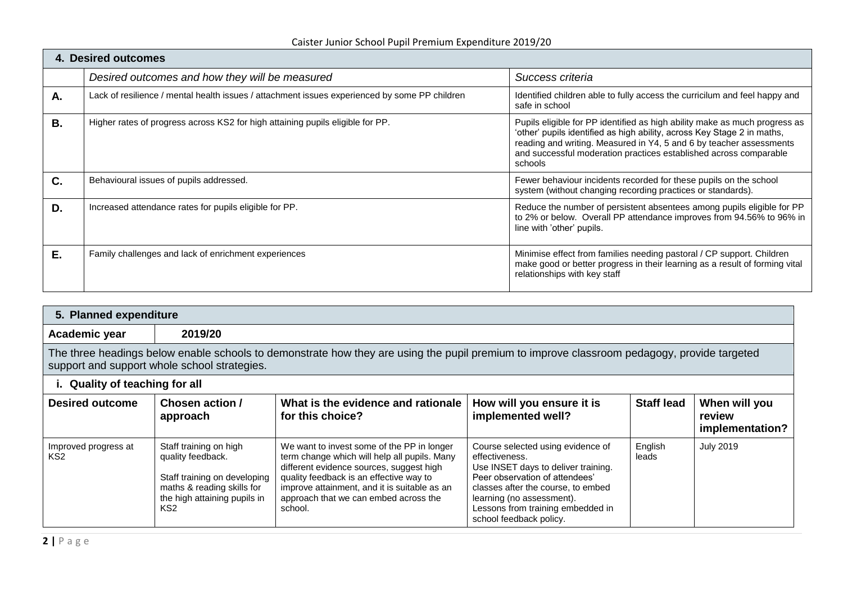| 4. Desired outcomes |                                                                                               |                                                                                                                                                                                                                                                                                                              |  |  |  |
|---------------------|-----------------------------------------------------------------------------------------------|--------------------------------------------------------------------------------------------------------------------------------------------------------------------------------------------------------------------------------------------------------------------------------------------------------------|--|--|--|
|                     | Desired outcomes and how they will be measured                                                | Success criteria                                                                                                                                                                                                                                                                                             |  |  |  |
| Α.                  | Lack of resilience / mental health issues / attachment issues experienced by some PP children | Identified children able to fully access the curricilum and feel happy and<br>safe in school                                                                                                                                                                                                                 |  |  |  |
| <b>B.</b>           | Higher rates of progress across KS2 for high attaining pupils eligible for PP.                | Pupils eligible for PP identified as high ability make as much progress as<br>'other' pupils identified as high ability, across Key Stage 2 in maths,<br>reading and writing. Measured in Y4, 5 and 6 by teacher assessments<br>and successful moderation practices established across comparable<br>schools |  |  |  |
| C.                  | Behavioural issues of pupils addressed.                                                       | Fewer behaviour incidents recorded for these pupils on the school<br>system (without changing recording practices or standards).                                                                                                                                                                             |  |  |  |
| D.                  | Increased attendance rates for pupils eligible for PP.                                        | Reduce the number of persistent absentees among pupils eligible for PP<br>to 2% or below. Overall PP attendance improves from 94.56% to 96% in<br>line with 'other' pupils.                                                                                                                                  |  |  |  |
| Е.                  | Family challenges and lack of enrichment experiences                                          | Minimise effect from families needing pastoral / CP support. Children<br>make good or better progress in their learning as a result of forming vital<br>relationships with key staff                                                                                                                         |  |  |  |

| 5. Planned expenditure                                                                                                                                                                      |                                                                                                           |                                                                                                                                                                                                                                   |                                                                                                                                                                    |                   |                                            |  |  |
|---------------------------------------------------------------------------------------------------------------------------------------------------------------------------------------------|-----------------------------------------------------------------------------------------------------------|-----------------------------------------------------------------------------------------------------------------------------------------------------------------------------------------------------------------------------------|--------------------------------------------------------------------------------------------------------------------------------------------------------------------|-------------------|--------------------------------------------|--|--|
| Academic year                                                                                                                                                                               | 2019/20                                                                                                   |                                                                                                                                                                                                                                   |                                                                                                                                                                    |                   |                                            |  |  |
| The three headings below enable schools to demonstrate how they are using the pupil premium to improve classroom pedagogy, provide targeted<br>support and support whole school strategies. |                                                                                                           |                                                                                                                                                                                                                                   |                                                                                                                                                                    |                   |                                            |  |  |
| i. Quality of teaching for all                                                                                                                                                              |                                                                                                           |                                                                                                                                                                                                                                   |                                                                                                                                                                    |                   |                                            |  |  |
| <b>Desired outcome</b>                                                                                                                                                                      | Chosen action /<br>approach                                                                               | What is the evidence and rationale<br>for this choice?                                                                                                                                                                            | How will you ensure it is<br>implemented well?                                                                                                                     | <b>Staff lead</b> | When will you<br>review<br>implementation? |  |  |
| Improved progress at<br>KS2                                                                                                                                                                 | Staff training on high<br>quality feedback.<br>Staff training on developing<br>maths & reading skills for | We want to invest some of the PP in longer<br>term change which will help all pupils. Many<br>different evidence sources, suggest high<br>quality feedback is an effective way to<br>improve attainment, and it is suitable as an | Course selected using evidence of<br>effectiveness.<br>Use INSET days to deliver training.<br>Peer observation of attendees'<br>classes after the course, to embed | English<br>leads  | <b>July 2019</b>                           |  |  |

learning (no assessment).

school feedback policy.

Lessons from training embedded in

approach that we can embed across the

school.

the high attaining pupils in

KS2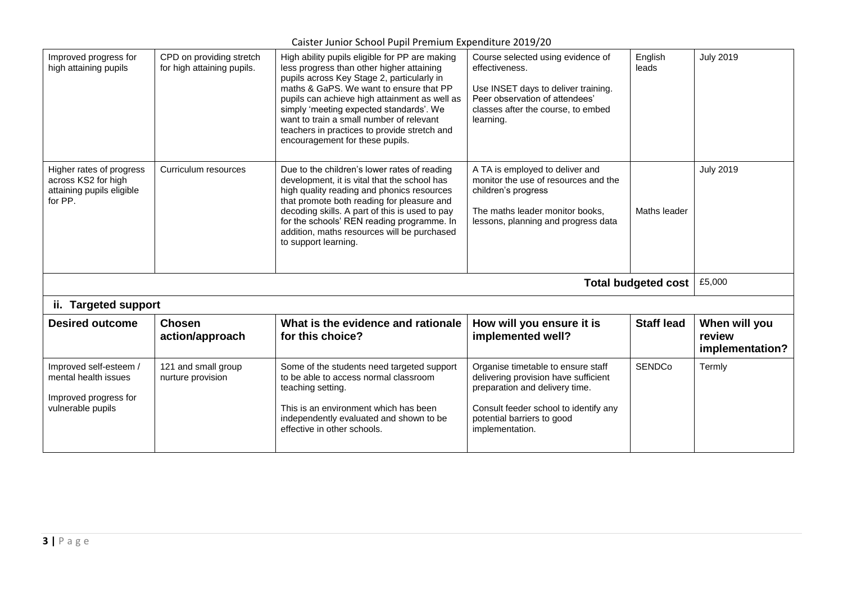Caister Junior School Pupil Premium Expenditure 2019/20

| Improved progress for<br>high attaining pupils                                               | CPD on providing stretch<br>for high attaining pupils. | High ability pupils eligible for PP are making<br>less progress than other higher attaining<br>pupils across Key Stage 2, particularly in<br>maths & GaPS. We want to ensure that PP<br>pupils can achieve high attainment as well as<br>simply 'meeting expected standards'. We<br>want to train a small number of relevant<br>teachers in practices to provide stretch and<br>encouragement for these pupils. | Course selected using evidence of<br>effectiveness.<br>Use INSET days to deliver training.<br>Peer observation of attendees'<br>classes after the course, to embed<br>learning.                        | English<br>leads  | <b>July 2019</b>                           |  |
|----------------------------------------------------------------------------------------------|--------------------------------------------------------|-----------------------------------------------------------------------------------------------------------------------------------------------------------------------------------------------------------------------------------------------------------------------------------------------------------------------------------------------------------------------------------------------------------------|--------------------------------------------------------------------------------------------------------------------------------------------------------------------------------------------------------|-------------------|--------------------------------------------|--|
| Higher rates of progress<br>across KS2 for high<br>attaining pupils eligible<br>for PP.      | Curriculum resources                                   | Due to the children's lower rates of reading<br>development, it is vital that the school has<br>high quality reading and phonics resources<br>that promote both reading for pleasure and<br>decoding skills. A part of this is used to pay<br>for the schools' REN reading programme. In<br>addition, maths resources will be purchased<br>to support learning.                                                 | A TA is employed to deliver and<br>monitor the use of resources and the<br>children's progress<br>The maths leader monitor books,<br>lessons, planning and progress data                               | Maths leader      | <b>July 2019</b>                           |  |
| Total budgeted cost<br>£5,000                                                                |                                                        |                                                                                                                                                                                                                                                                                                                                                                                                                 |                                                                                                                                                                                                        |                   |                                            |  |
| ii. Targeted support                                                                         |                                                        |                                                                                                                                                                                                                                                                                                                                                                                                                 |                                                                                                                                                                                                        |                   |                                            |  |
| <b>Desired outcome</b>                                                                       | <b>Chosen</b><br>action/approach                       | What is the evidence and rationale<br>for this choice?                                                                                                                                                                                                                                                                                                                                                          | How will you ensure it is<br>implemented well?                                                                                                                                                         | <b>Staff lead</b> | When will you<br>review<br>implementation? |  |
| Improved self-esteem /<br>mental health issues<br>Improved progress for<br>vulnerable pupils | 121 and small group<br>nurture provision               | Some of the students need targeted support<br>to be able to access normal classroom<br>teaching setting.<br>This is an environment which has been<br>independently evaluated and shown to be<br>effective in other schools.                                                                                                                                                                                     | Organise timetable to ensure staff<br>delivering provision have sufficient<br>preparation and delivery time.<br>Consult feeder school to identify any<br>potential barriers to good<br>implementation. | <b>SENDCo</b>     | Termly                                     |  |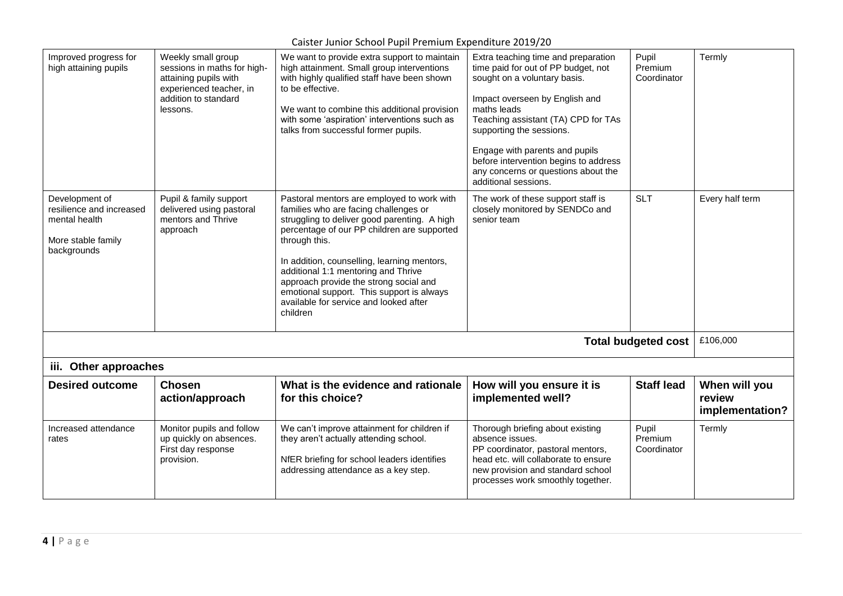Caister Junior School Pupil Premium Expenditure 2019/20

| Improved progress for<br>high attaining pupils                                                   | Weekly small group<br>sessions in maths for high-<br>attaining pupils with<br>experienced teacher, in<br>addition to standard<br>lessons. | We want to provide extra support to maintain<br>high attainment. Small group interventions<br>with highly qualified staff have been shown<br>to be effective.<br>We want to combine this additional provision<br>with some 'aspiration' interventions such as<br>talks from successful former pupils.                                                                                                                                  | Extra teaching time and preparation<br>time paid for out of PP budget, not<br>sought on a voluntary basis.<br>Impact overseen by English and<br>maths leads<br>Teaching assistant (TA) CPD for TAs<br>supporting the sessions.<br>Engage with parents and pupils<br>before intervention begins to address<br>any concerns or questions about the<br>additional sessions. | Pupil<br>Premium<br>Coordinator | Termly                                     |
|--------------------------------------------------------------------------------------------------|-------------------------------------------------------------------------------------------------------------------------------------------|----------------------------------------------------------------------------------------------------------------------------------------------------------------------------------------------------------------------------------------------------------------------------------------------------------------------------------------------------------------------------------------------------------------------------------------|--------------------------------------------------------------------------------------------------------------------------------------------------------------------------------------------------------------------------------------------------------------------------------------------------------------------------------------------------------------------------|---------------------------------|--------------------------------------------|
| Development of<br>resilience and increased<br>mental health<br>More stable family<br>backgrounds | Pupil & family support<br>delivered using pastoral<br>mentors and Thrive<br>approach                                                      | Pastoral mentors are employed to work with<br>families who are facing challenges or<br>struggling to deliver good parenting. A high<br>percentage of our PP children are supported<br>through this.<br>In addition, counselling, learning mentors,<br>additional 1:1 mentoring and Thrive<br>approach provide the strong social and<br>emotional support. This support is always<br>available for service and looked after<br>children | The work of these support staff is<br>closely monitored by SENDCo and<br>senior team                                                                                                                                                                                                                                                                                     | <b>SLT</b>                      | Every half term                            |
|                                                                                                  |                                                                                                                                           |                                                                                                                                                                                                                                                                                                                                                                                                                                        |                                                                                                                                                                                                                                                                                                                                                                          | <b>Total budgeted cost</b>      | £106,000                                   |
| iii. Other approaches                                                                            |                                                                                                                                           |                                                                                                                                                                                                                                                                                                                                                                                                                                        |                                                                                                                                                                                                                                                                                                                                                                          |                                 |                                            |
| <b>Desired outcome</b>                                                                           | <b>Chosen</b><br>action/approach                                                                                                          | What is the evidence and rationale<br>for this choice?                                                                                                                                                                                                                                                                                                                                                                                 | How will you ensure it is<br>implemented well?                                                                                                                                                                                                                                                                                                                           | <b>Staff lead</b>               | When will you<br>review<br>implementation? |
| Increased attendance<br>rates                                                                    | Monitor pupils and follow<br>up quickly on absences.<br>First day response<br>provision.                                                  | We can't improve attainment for children if<br>they aren't actually attending school.<br>NfER briefing for school leaders identifies<br>addressing attendance as a key step.                                                                                                                                                                                                                                                           | Thorough briefing about existing<br>absence issues.<br>PP coordinator, pastoral mentors,<br>head etc. will collaborate to ensure<br>new provision and standard school<br>processes work smoothly together.                                                                                                                                                               | Pupil<br>Premium<br>Coordinator | Termly                                     |